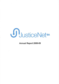

Annual Report 2008-09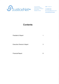

The Law School **ARBN** 135 823 513 Ligertwood Building<br>The University of Adelaide <mark>T</mark> 08 8303 5005 North Terrace **F 08 8303 4344** Adelaide SA 5005 **E** tim.graham@justicenet.org.au

- 
- 

www.justicenet.org.au

# **Contents**

President's Report

Executive Director's Report

Financial Report

6

3

1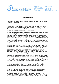

The Law School Ligertwood Building The University of Adelaide North Terrace Adelaide SA 5005

aRBN 135 823 513

r 0B 8303 5005

F 08 8303 4344

E tim.graham@justicenet.org.au www.justicenet.org.au

### President's Report

It is a delight to be preparing the President's report for the inaugural annual general meeting of JusticeNet SA.

The establishment of JusticeNet SA was a moment long anticipated by the members of our committee. My involvement began two and a half years ago when I first sat down to dinner at the Star of Siam with Jonathan Wells QC, Aleecia Murray and Kerry Clark. We had a general idea about setting up an organization to facilitate pro bono in South Australia but not, at that stage, too much more.

The idea of JusticeNet SA gradually took shape over many more dinners and bottles of wine. Knowing that we needed the right people to help us, our group grew to include contributions from Elicia Savvas, David Bulloch and Ross Richards from Westside Lawyers, Joanne Staugas and Nick Linke from the private profession and Gabrielle Canny from the Legal Services Commission. JusticeNet SA has reaped the benefits of a management committee representing the private profession, the bar, the Legal Aid sector and the community legal centres. The centre's close relationships with the Law Society and the Bar Association have also been central to its success in the first year.

Our vision for JusticeNet SA as the peak pro bono body for SA evolved through hours of talking, talking, talking. We conducted consultations with the private profession, the bar, the community legal sector and the Legal Services Commission, believing that the project would stand or fall on the strength of its relationships with its stakeholders. Having received good feedback and plenty of ideas from the consultation, the group settled on a model for JusticeNet SA that we believed would best suit the needs of South Australia's legal community.

Having decided the conceptual model for the project, the group rolled up its sleeves and got down to the nitty gritty of setting up an organization like JusticeNet SA. Many thanks must go to our Vice President, Kerry Clark, for arranging the incorporation of the centre and drafting its founding constitution. Special thanks also to our treasurer, Nick Linke, who (amongst many other things) cheerfully accepted the task of overseeing the centre's finances. All of the committee members, however, were involved in many long meetings and out-of-hours work attending to the myriad requirements of a newborn legal centre. Thanks to Fisher Jeffries for hosting our meetings and providing the wine and cheese to keep people going late into the evening.

Obtaining funding to establish a project like JusticeNet SA is always the biggest hurdle. Approaches to Commonwealth and State Attorneys-General were unfortunately unsuccessful. Thankfully, the Law Foundation of South Australia came on board with a \$100,000 grant for the centre's first year of operation and the University of Adelaide's Law School generously offered accommodation. lt was an exciting moment for us all to know that JusticeNet SA was finally to become a reality!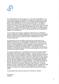

Our funding allowed us to hire one person to run the whole of JusticeNet SA. The role of Executive Director of JusticeNet SA is a large and ill-defined job but one that presents daily challenges and rewards. Our committee knew that finding the right person to lead JusticeNet SA in its first year was crucial. Much to our delight, our final interviewee for the position turned out to be Tim Graham, an experienced solicitor with a background in private practice, the community sector, government and university work. The committee has been delighted to have Tim on board - not only because he has lightened our individual loads! - but because of the professionalism, empathy and enthusiasm with which he has approached the work of JusticeNet SA. Welcome, Tim, and thank you.

Tim's first weeks were devoted to organizing the official launch of JusticeNet SA, hosting a meeting of our interstate colleagues in the pro bono sector and organizing a series of workshops for South Australia's private, Legal Aid and community sectors. All were a huge success and marked the advent of JusticeNet SA into South Australia's legal scene.

Our funding from the Law Foundation will finish all too soon at the end of the 200912010 financial year. The single biggest challenge will be to obtain sufficient funding to support JusticeNet SA's operations in the 2010/2011 financial year and beyond. The Centre welcomes all and any assistance in reaching this goal. ln the coming months JusticeNet SA will seek to extend its membership base and strengthen its relationships with all stakeholders. It looks forward to working with its members and all other participants in the South Australian legal community to make its first year of operation a success.

Of course, the establishment of JusticeNet SA would not have come about without the assistance from a large number of supporters. No doubt I will fail to mention some of them, and for that I apologise in advance. I take this opportunity to thank the Law Foundation of South Australia, the University of Adelaide Law School, the Law Society, the Bar Association, the Honourable Chief Justice Doyle and other members of the judiciary for leading our Walks for Justice, the Honourable Justice Mansfield AM, who launched JusticeNet SA and supported our funding application, Malcolm Blue QC, who also supported the funding application, John Corker and the National Pro Bono Resource Centre, our colleagues at PILCH Victoria, PILCH NSW and QPILCH, the Flinders Law Students'Association, Robyn Parkinson, our minutes secretary, the Hilton lnternational Hotel, Two Brothers Catering, the staff of the Legal Services Commission, Steve Balmer from BMD Designs for our website, Heidi Angove from lnternode for our web access and Dilfinch & Dilfinch for their graphic design.

It is with pleasure that I table this report for the information of members.

Paula Stirling President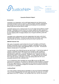

The Law School **ARBN** 135 823 513 Ligertwood Building The University of Adelaide T 08 8303 5005<br>North Terrace F 08 8303 4344 North Terrace F 08 8303 4344<br>Adelaide SA 5005 E tim.graham@ju

- 
- 

**E** tim.graham@justicenet.org.au

www.justicenet.org.au

### Executive Director's Report

### Introduction

JusticeNet is an independent, not for profit legal assessment and referral service. JusticeNet facilitates access to justice by matching eligible charitable organisations and members of the community with a safety net of member firms and barristers willing to give their services without charge.

JusticeNet aspires to be a 'clearing house'for pro bono legal service delivery in South Australia. JusticeNet's primary function is to receive, assess and refers requests for pro bono legal assistance in a coordinated manner that maximizes the efficient use of pro bono capacity within the legal profession and, through its activities, grows that capacity.

JusticeNet works collaboratively with other stakeholders that make up the South Australian legal profession, including the Legal Services Commission, Community Legal Centres, law schools, private law firms and the South Australian Bar.

### 2008-09 Financial Year

After years of preparation, seed funding from the Law Foundation, and the kind donation of premises from the University of Adelaide, JusticeNet SA was officially launched by the Honourable Justice Mansfield AM on 2 July 2009. The Executive Director commenced on 15 June 2009.

The last fortnight of the 2008-09 financial year was frenetic. ln the first two weeks of operation JusticeNet received 26 enquiries and managed to refer 3 matters to members and/or supporters. lt is amazing what can be achieved without basic administrative systems and procedures. Needless to say, I regularly exercised my executive 'discretion' in those hectic first weeks. lt is noteworthy that one of those first 3 referrals recently culminated in a four day hearing before the AAT and a successful outcome for the JusticeNet client.

As of 18 September 2009 JusticeNet has received 98 enquires and 26 written applications for assistance, and referred (or attempted to refer) 8 matters to members for pro bono legal assitance. (These figures do not include the 4 referrals facilitated by members of the Justicenet management committee over the several months prior to the launch of JusticeNet.)

#### Looking Ahead

The single greatest challenge facing JusticeNet is to secure its financial sustainability. This is a more challenging task than what might have been the case only 12 months ago thanks to the 'GFC', however, I am confident that it can, and will, be achieved.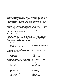JusticeNet currently has 6 member firms and 26 individual members (most of whom are members of the South Australian Bar). This is a promising start and we have strong expressions of interest from several more SA firms. Clearly, however, we must substantially increase our membership base to be self-sustaining. (And this is not only imperative from the perspective of financial viability but, as the referral scheme matures, will be essential to share the workload around.)

JusticeNet is currently preparing a comprehensive funding strategy that will address the potential funding opportunities and alternatives available. That strategy will, amongst other things, seek to engage all of our key stakeholders, including government, the legal profession and educational institutions, to ensure the success and longevity of this important project.

### Acknowledgements

ln addition to those mentioned in the President's report, I would like to acknowledge the efforts of the JusticeNet management committee who have been tireless in getting JusticeNet of the ground, and unfailingly supportive of my efforls. The management committee of JusticeNet consists of:

David Bulloch (resigned 08/09) Paula Stirling Nick Linke Gabrielle Canny

Kerry Clark Jonathan Wells QC Joanne Sfaugas (resigned 08/09)

Thanks also to the small group of law student volunteers who have donated a day/week to JusticeNet with enthusiasm and professionalism. JusticeNet's current law student volunteers are:

| Jessica De Silva | <b>Benjamin Stuart</b> |
|------------------|------------------------|
| Dayna Zuikelis   | Louise Young           |
| Sarah Broome     | Laura Daminato         |

Thanks also to our members for supporting JusticeNet and accepting pro bono referrals for those in need. Our current member firms are:

| Campbell Law            | <b>Donaldson Walsh</b> |
|-------------------------|------------------------|
| <b>DLA Phillips Fox</b> | Cowell Clarke          |
| <b>Fisher Jeffries</b>  | Piper Alderman         |

<sup>J</sup>usticeNet's member barristers are:

Mark Livesey QC George Stathopoulos Neville Morcombe QC **Martin Anders** Jonathan Wells QC

Hugh Abbott Margaret Kelly Michael Mills Kerry Clark lan Robertson SC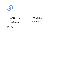

Roger Sallis **Claire O'Connor** Philip McNamara QC Christopher Brohier MichaelRoder SC Malcolm Blue QC Arlene Macdonald

Neville Rochow SC

Tim Graham 23 September 2009